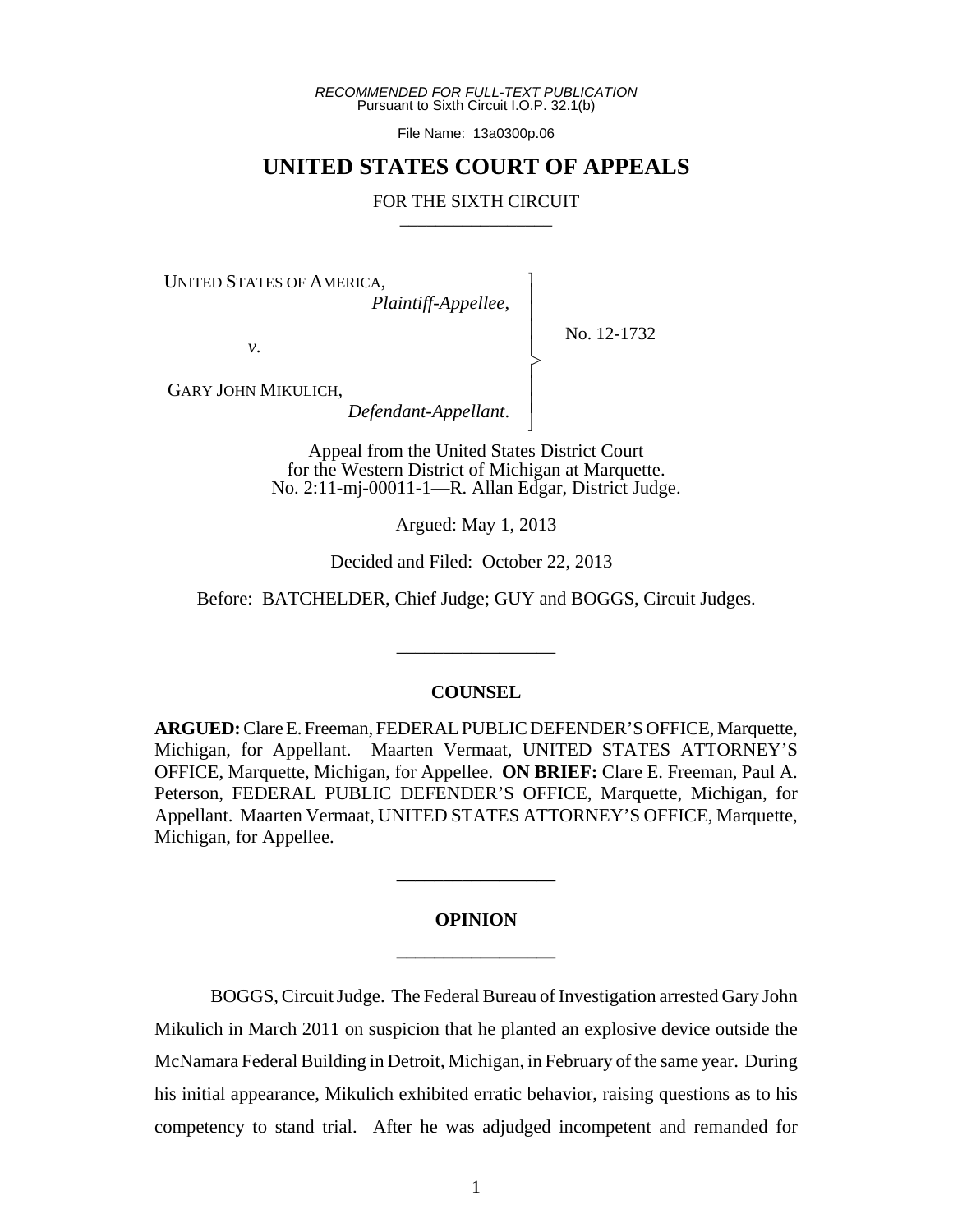*RECOMMENDED FOR FULL-TEXT PUBLICATION* Pursuant to Sixth Circuit I.O.P. 32.1(b)

File Name: 13a0300p.06

# **UNITED STATES COURT OF APPEALS**

## FOR THE SIXTH CIRCUIT

 $\overline{\phantom{a}}$ - - - > , - - N

UNITED STATES OF AMERICA,

*Plaintiff-Appellee*,

No. 12-1732

*v*.

GARY JOHN MIKULICH,

*Defendant-Appellant*.

Appeal from the United States District Court for the Western District of Michigan at Marquette. No. 2:11-mj-00011-1—R. Allan Edgar, District Judge.

Argued: May 1, 2013

Decided and Filed: October 22, 2013

Before: BATCHELDER, Chief Judge; GUY and BOGGS, Circuit Judges.

\_\_\_\_\_\_\_\_\_\_\_\_\_\_\_\_\_

# **COUNSEL**

**ARGUED:** Clare E. Freeman, FEDERAL PUBLIC DEFENDER'S OFFICE, Marquette, Michigan, for Appellant. Maarten Vermaat, UNITED STATES ATTORNEY'S OFFICE, Marquette, Michigan, for Appellee. **ON BRIEF:** Clare E. Freeman, Paul A. Peterson, FEDERAL PUBLIC DEFENDER'S OFFICE, Marquette, Michigan, for Appellant. Maarten Vermaat, UNITED STATES ATTORNEY'S OFFICE, Marquette, Michigan, for Appellee.

# **OPINION \_\_\_\_\_\_\_\_\_\_\_\_\_\_\_\_\_**

**\_\_\_\_\_\_\_\_\_\_\_\_\_\_\_\_\_**

BOGGS, Circuit Judge. The Federal Bureau of Investigation arrested Gary John Mikulich in March 2011 on suspicion that he planted an explosive device outside the McNamara Federal Building in Detroit, Michigan, in February of the same year. During his initial appearance, Mikulich exhibited erratic behavior, raising questions as to his competency to stand trial. After he was adjudged incompetent and remanded for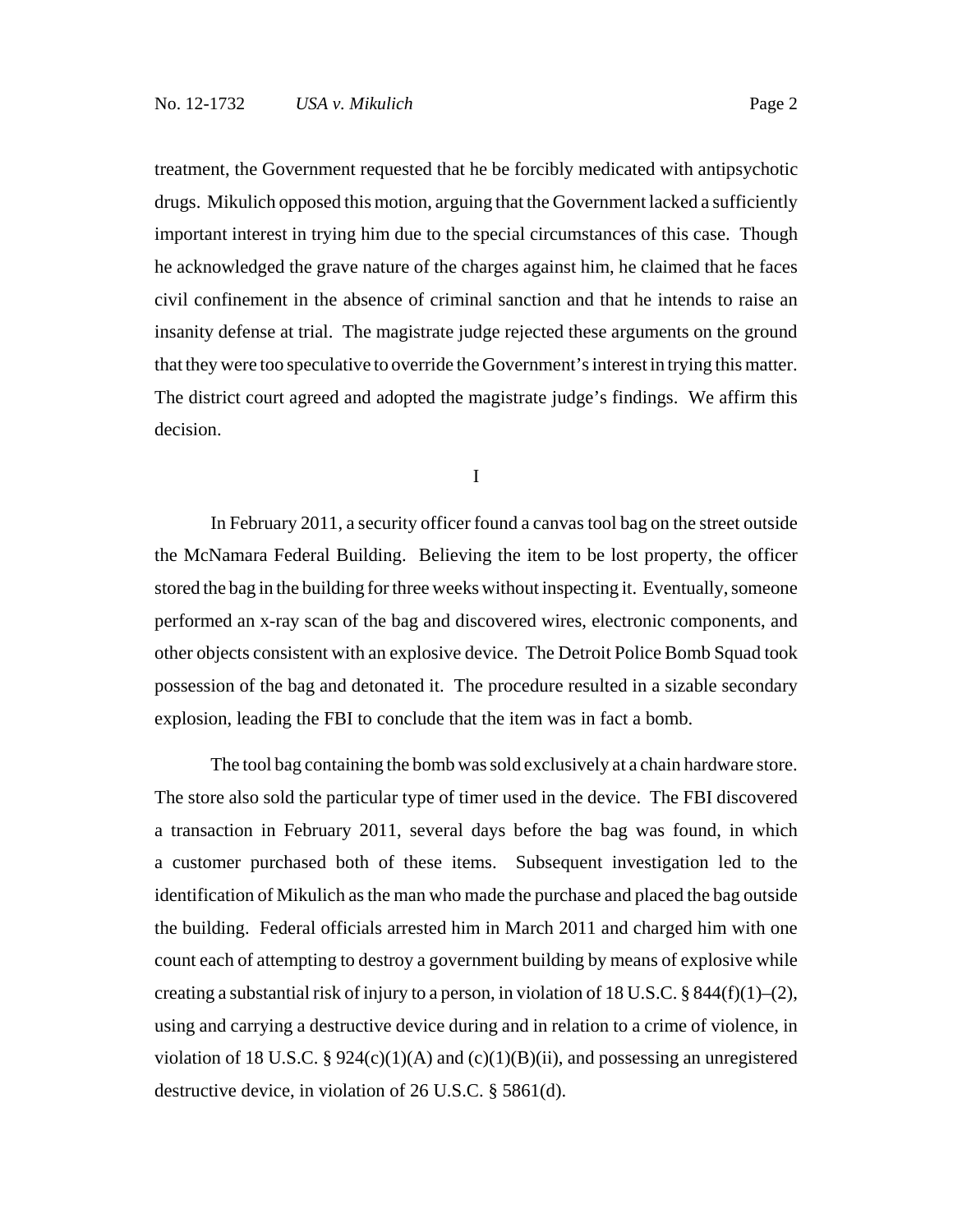treatment, the Government requested that he be forcibly medicated with antipsychotic drugs. Mikulich opposed this motion, arguing that the Government lacked a sufficiently important interest in trying him due to the special circumstances of this case. Though he acknowledged the grave nature of the charges against him, he claimed that he faces civil confinement in the absence of criminal sanction and that he intends to raise an insanity defense at trial. The magistrate judge rejected these arguments on the ground that they were too speculative to override the Government's interest in trying this matter. The district court agreed and adopted the magistrate judge's findings. We affirm this decision.

I

In February 2011, a security officer found a canvas tool bag on the street outside the McNamara Federal Building. Believing the item to be lost property, the officer stored the bag in the building for three weeks without inspecting it. Eventually, someone performed an x-ray scan of the bag and discovered wires, electronic components, and other objects consistent with an explosive device. The Detroit Police Bomb Squad took possession of the bag and detonated it. The procedure resulted in a sizable secondary explosion, leading the FBI to conclude that the item was in fact a bomb.

The tool bag containing the bomb was sold exclusively at a chain hardware store. The store also sold the particular type of timer used in the device. The FBI discovered a transaction in February 2011, several days before the bag was found, in which a customer purchased both of these items. Subsequent investigation led to the identification of Mikulich as the man who made the purchase and placed the bag outside the building. Federal officials arrested him in March 2011 and charged him with one count each of attempting to destroy a government building by means of explosive while creating a substantial risk of injury to a person, in violation of 18 U.S.C. § 844(f)(1)–(2), using and carrying a destructive device during and in relation to a crime of violence, in violation of 18 U.S.C. § 924(c)(1)(A) and (c)(1)(B)(ii), and possessing an unregistered destructive device, in violation of 26 U.S.C. § 5861(d).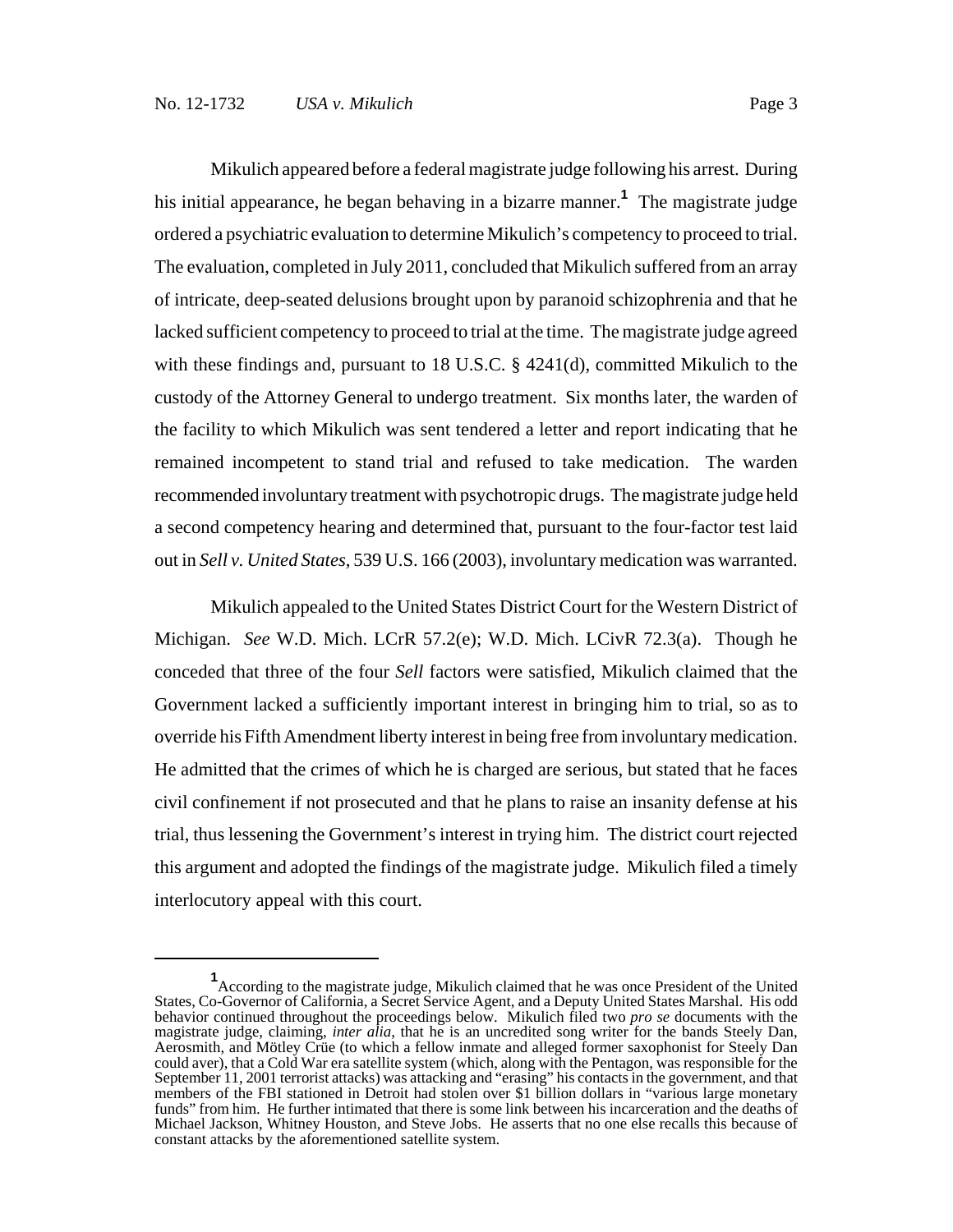Mikulich appeared before a federal magistrate judge following his arrest. During his initial appearance, he began behaving in a bizarre manner.**<sup>1</sup>** The magistrate judge ordered a psychiatric evaluation to determine Mikulich's competency to proceed to trial. The evaluation, completed in July 2011, concluded that Mikulich suffered from an array of intricate, deep-seated delusions brought upon by paranoid schizophrenia and that he lacked sufficient competency to proceed to trial at the time. The magistrate judge agreed with these findings and, pursuant to 18 U.S.C.  $\S$  4241(d), committed Mikulich to the custody of the Attorney General to undergo treatment. Six months later, the warden of the facility to which Mikulich was sent tendered a letter and report indicating that he remained incompetent to stand trial and refused to take medication. The warden recommended involuntary treatment with psychotropic drugs. The magistrate judge held a second competency hearing and determined that, pursuant to the four-factor test laid out in *Sell v. United States*, 539 U.S. 166 (2003), involuntary medication was warranted.

Mikulich appealed to the United States District Court for the Western District of Michigan. *See* W.D. Mich. LCrR 57.2(e); W.D. Mich. LCivR 72.3(a). Though he conceded that three of the four *Sell* factors were satisfied, Mikulich claimed that the Government lacked a sufficiently important interest in bringing him to trial, so as to override his Fifth Amendment liberty interest in being free from involuntary medication. He admitted that the crimes of which he is charged are serious, but stated that he faces civil confinement if not prosecuted and that he plans to raise an insanity defense at his trial, thus lessening the Government's interest in trying him. The district court rejected this argument and adopted the findings of the magistrate judge. Mikulich filed a timely interlocutory appeal with this court.

**<sup>1</sup>** According to the magistrate judge, Mikulich claimed that he was once President of the United States, Co-Governor of California, a Secret Service Agent, and a Deputy United States Marshal. His odd behavior continued throughout the proceedings below. Mikulich filed two *pro se* documents with the magistrate judge, claiming, *inter alia*, that he is an uncredited song writer for the bands Steely Dan, Aerosmith, and Mötley Crüe (to which a fellow inmate and alleged former saxophonist for Steely Dan could aver), that a Cold War era satellite system (which, along with the Pentagon, was responsible for the September 11, 2001 terrorist attacks) was attacking and "erasing" his contacts in the government, and that members of the FBI stationed in Detroit had stolen over \$1 billion dollars in "various large monetary funds" from him. He further intimated that there is some link between his incarceration and the deaths of Michael Jackson, Whitney Houston, and Steve Jobs. He asserts that no one else recalls this because of constant attacks by the aforementioned satellite system.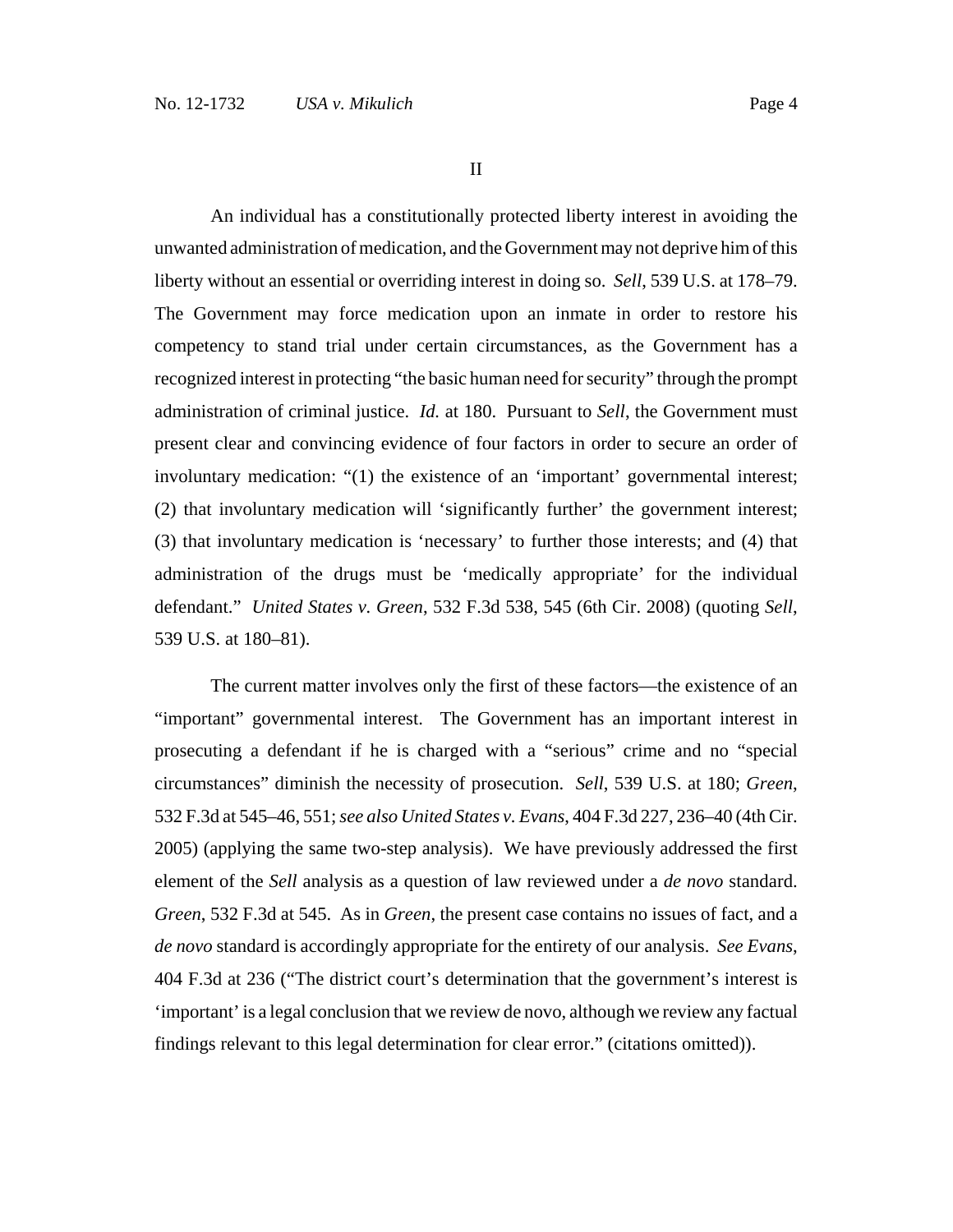II

An individual has a constitutionally protected liberty interest in avoiding the unwanted administration of medication, and the Government may not deprive him of this liberty without an essential or overriding interest in doing so. *Sell*, 539 U.S. at 178–79. The Government may force medication upon an inmate in order to restore his competency to stand trial under certain circumstances, as the Government has a recognized interest in protecting "the basic human need for security" through the prompt administration of criminal justice. *Id.* at 180. Pursuant to *Sell*, the Government must present clear and convincing evidence of four factors in order to secure an order of involuntary medication: "(1) the existence of an 'important' governmental interest; (2) that involuntary medication will 'significantly further' the government interest; (3) that involuntary medication is 'necessary' to further those interests; and (4) that administration of the drugs must be 'medically appropriate' for the individual defendant." *United States v. Green*, 532 F.3d 538, 545 (6th Cir. 2008) (quoting *Sell*, 539 U.S. at 180–81).

The current matter involves only the first of these factors—the existence of an "important" governmental interest. The Government has an important interest in prosecuting a defendant if he is charged with a "serious" crime and no "special circumstances" diminish the necessity of prosecution. *Sell*, 539 U.S. at 180; *Green*, 532 F.3d at 545–46, 551; *see also United States v. Evans*, 404 F.3d 227, 236–40 (4th Cir. 2005) (applying the same two-step analysis). We have previously addressed the first element of the *Sell* analysis as a question of law reviewed under a *de novo* standard. *Green*, 532 F.3d at 545. As in *Green*, the present case contains no issues of fact, and a *de novo* standard is accordingly appropriate for the entirety of our analysis. *See Evans*, 404 F.3d at 236 ("The district court's determination that the government's interest is 'important' is a legal conclusion that we review de novo, although we review any factual findings relevant to this legal determination for clear error." (citations omitted)).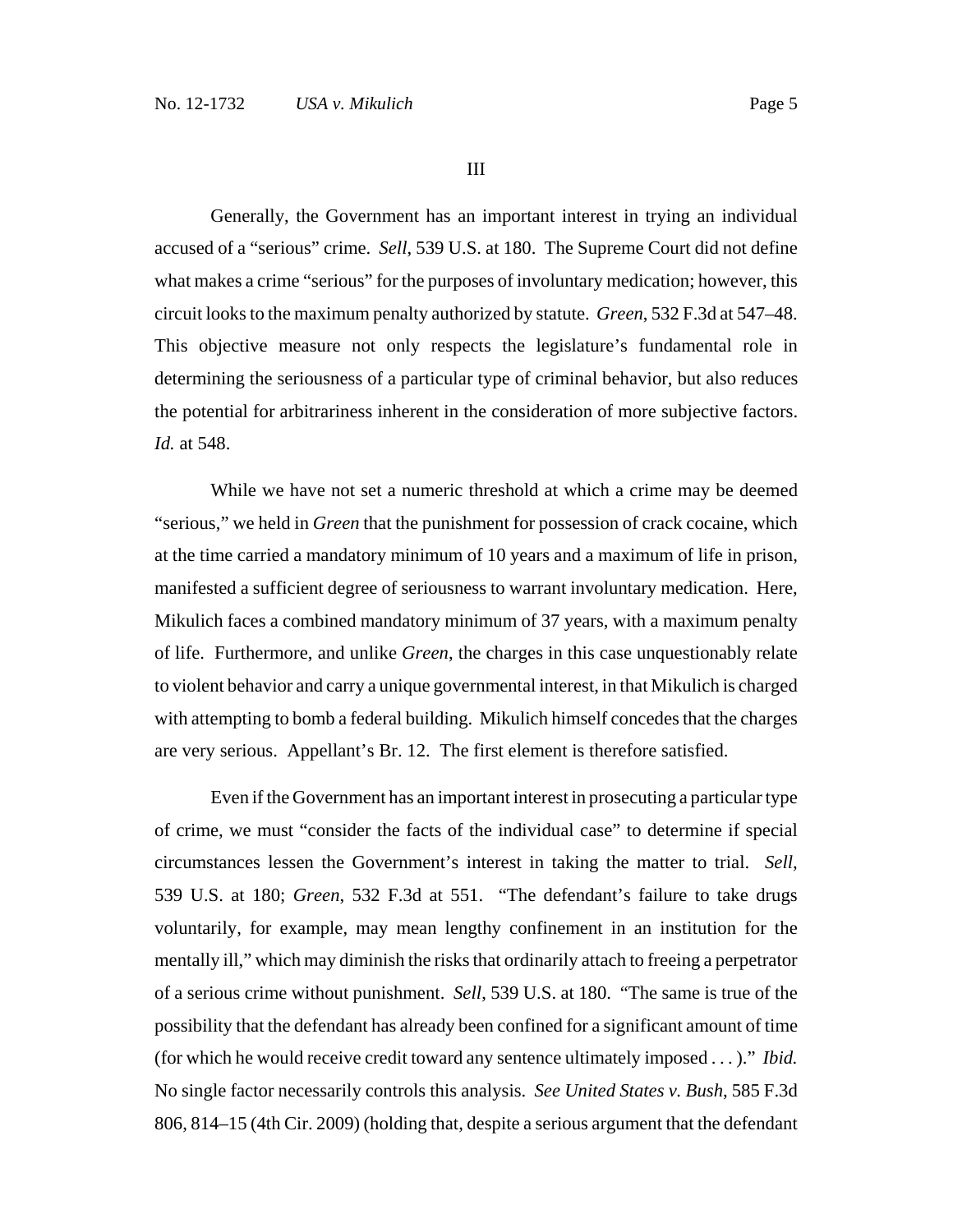III

Generally, the Government has an important interest in trying an individual accused of a "serious" crime. *Sell*, 539 U.S. at 180. The Supreme Court did not define what makes a crime "serious" for the purposes of involuntary medication; however, this circuit looks to the maximum penalty authorized by statute. *Green*, 532 F.3d at 547–48. This objective measure not only respects the legislature's fundamental role in determining the seriousness of a particular type of criminal behavior, but also reduces the potential for arbitrariness inherent in the consideration of more subjective factors. *Id.* at 548.

While we have not set a numeric threshold at which a crime may be deemed "serious," we held in *Green* that the punishment for possession of crack cocaine, which at the time carried a mandatory minimum of 10 years and a maximum of life in prison, manifested a sufficient degree of seriousness to warrant involuntary medication. Here, Mikulich faces a combined mandatory minimum of 37 years, with a maximum penalty of life. Furthermore, and unlike *Green*, the charges in this case unquestionably relate to violent behavior and carry a unique governmental interest, in that Mikulich is charged with attempting to bomb a federal building. Mikulich himself concedes that the charges are very serious. Appellant's Br. 12. The first element is therefore satisfied.

Even if the Government has an important interest in prosecuting a particular type of crime, we must "consider the facts of the individual case" to determine if special circumstances lessen the Government's interest in taking the matter to trial. *Sell*, 539 U.S. at 180; *Green*, 532 F.3d at 551. "The defendant's failure to take drugs voluntarily, for example, may mean lengthy confinement in an institution for the mentally ill," which may diminish the risks that ordinarily attach to freeing a perpetrator of a serious crime without punishment. *Sell*, 539 U.S. at 180. "The same is true of the possibility that the defendant has already been confined for a significant amount of time (for which he would receive credit toward any sentence ultimately imposed . . . )." *Ibid.* No single factor necessarily controls this analysis. *See United States v. Bush*, 585 F.3d 806, 814–15 (4th Cir. 2009) (holding that, despite a serious argument that the defendant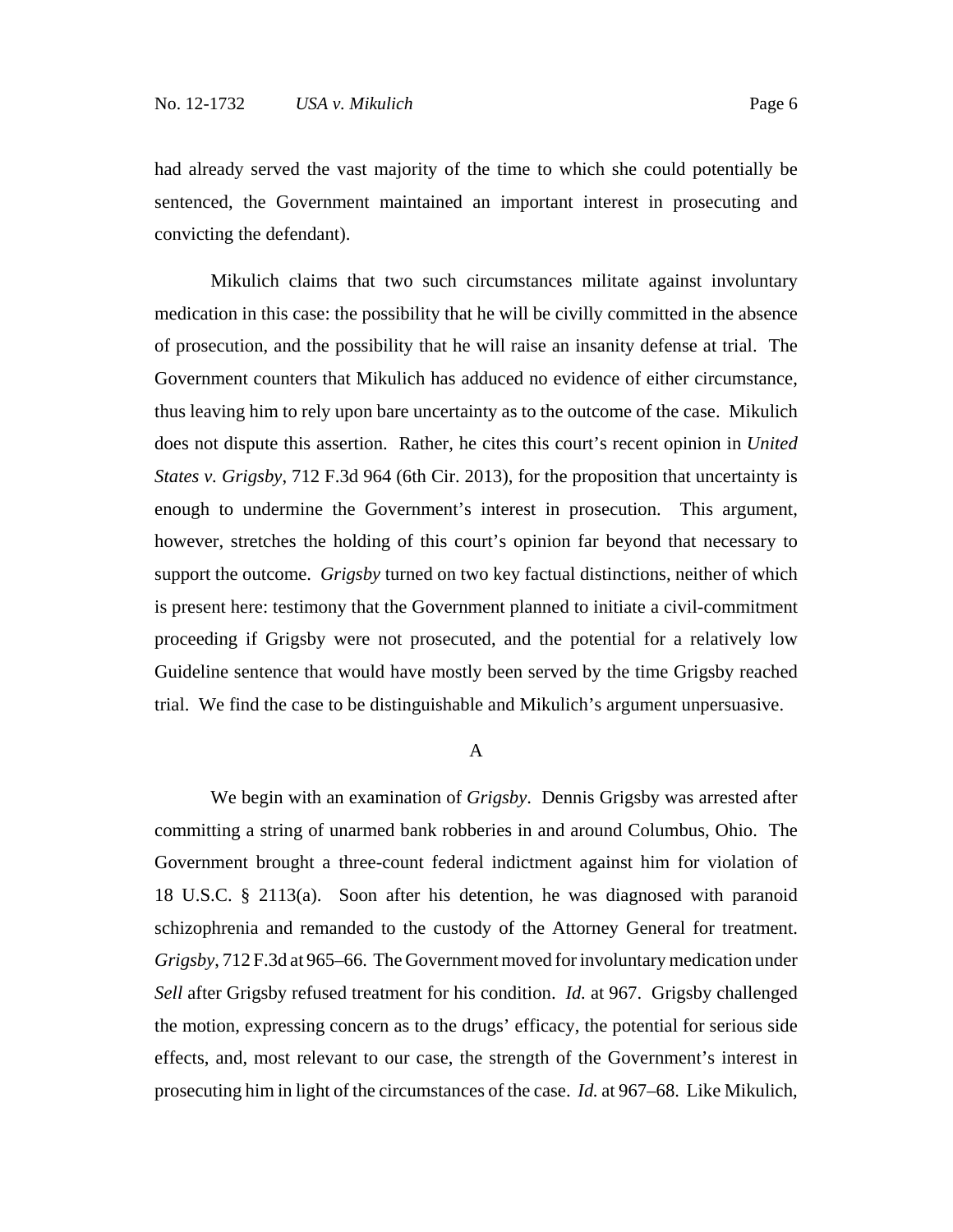had already served the vast majority of the time to which she could potentially be sentenced, the Government maintained an important interest in prosecuting and convicting the defendant).

Mikulich claims that two such circumstances militate against involuntary medication in this case: the possibility that he will be civilly committed in the absence of prosecution, and the possibility that he will raise an insanity defense at trial. The Government counters that Mikulich has adduced no evidence of either circumstance, thus leaving him to rely upon bare uncertainty as to the outcome of the case. Mikulich does not dispute this assertion. Rather, he cites this court's recent opinion in *United States v. Grigsby*, 712 F.3d 964 (6th Cir. 2013), for the proposition that uncertainty is enough to undermine the Government's interest in prosecution. This argument, however, stretches the holding of this court's opinion far beyond that necessary to support the outcome. *Grigsby* turned on two key factual distinctions, neither of which is present here: testimony that the Government planned to initiate a civil-commitment proceeding if Grigsby were not prosecuted, and the potential for a relatively low Guideline sentence that would have mostly been served by the time Grigsby reached trial. We find the case to be distinguishable and Mikulich's argument unpersuasive.

## A

We begin with an examination of *Grigsby*. Dennis Grigsby was arrested after committing a string of unarmed bank robberies in and around Columbus, Ohio. The Government brought a three-count federal indictment against him for violation of 18 U.S.C. § 2113(a). Soon after his detention, he was diagnosed with paranoid schizophrenia and remanded to the custody of the Attorney General for treatment. *Grigsby*, 712 F.3d at 965–66. The Government moved for involuntary medication under *Sell* after Grigsby refused treatment for his condition. *Id.* at 967. Grigsby challenged the motion, expressing concern as to the drugs' efficacy, the potential for serious side effects, and, most relevant to our case, the strength of the Government's interest in prosecuting him in light of the circumstances of the case. *Id.* at 967–68. Like Mikulich,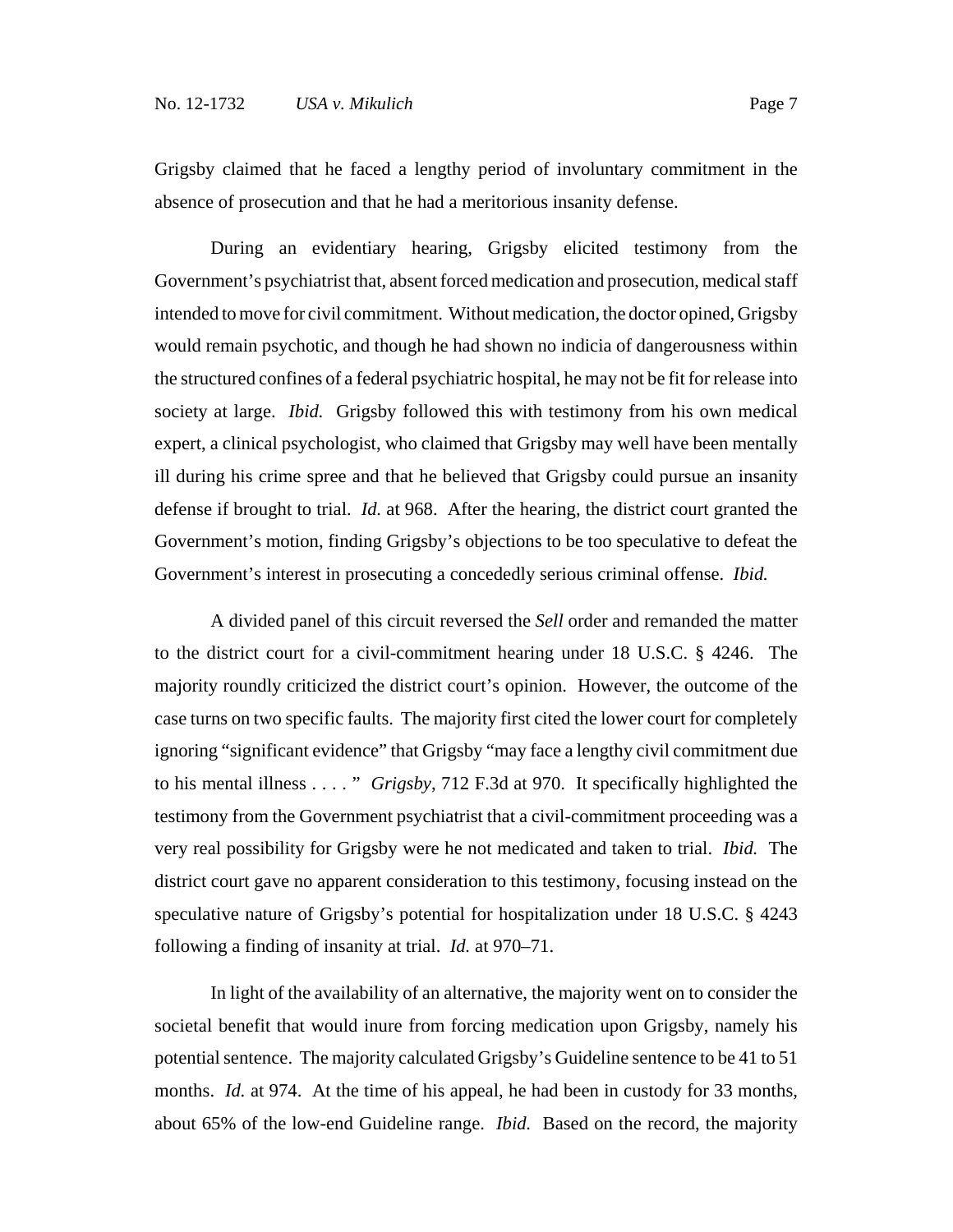Grigsby claimed that he faced a lengthy period of involuntary commitment in the absence of prosecution and that he had a meritorious insanity defense.

During an evidentiary hearing, Grigsby elicited testimony from the Government's psychiatrist that, absent forced medication and prosecution, medical staff intended to move for civil commitment. Without medication, the doctor opined, Grigsby would remain psychotic, and though he had shown no indicia of dangerousness within the structured confines of a federal psychiatric hospital, he may not be fit for release into society at large. *Ibid.* Grigsby followed this with testimony from his own medical expert, a clinical psychologist, who claimed that Grigsby may well have been mentally ill during his crime spree and that he believed that Grigsby could pursue an insanity defense if brought to trial. *Id.* at 968. After the hearing, the district court granted the Government's motion, finding Grigsby's objections to be too speculative to defeat the Government's interest in prosecuting a concededly serious criminal offense. *Ibid.*

A divided panel of this circuit reversed the *Sell* order and remanded the matter to the district court for a civil-commitment hearing under 18 U.S.C. § 4246. The majority roundly criticized the district court's opinion. However, the outcome of the case turns on two specific faults. The majority first cited the lower court for completely ignoring "significant evidence" that Grigsby "may face a lengthy civil commitment due to his mental illness . . . . " *Grigsby*, 712 F.3d at 970. It specifically highlighted the testimony from the Government psychiatrist that a civil-commitment proceeding was a very real possibility for Grigsby were he not medicated and taken to trial. *Ibid.* The district court gave no apparent consideration to this testimony, focusing instead on the speculative nature of Grigsby's potential for hospitalization under 18 U.S.C. § 4243 following a finding of insanity at trial. *Id.* at 970–71.

In light of the availability of an alternative, the majority went on to consider the societal benefit that would inure from forcing medication upon Grigsby, namely his potential sentence. The majority calculated Grigsby's Guideline sentence to be 41 to 51 months. *Id.* at 974. At the time of his appeal, he had been in custody for 33 months, about 65% of the low-end Guideline range. *Ibid.* Based on the record, the majority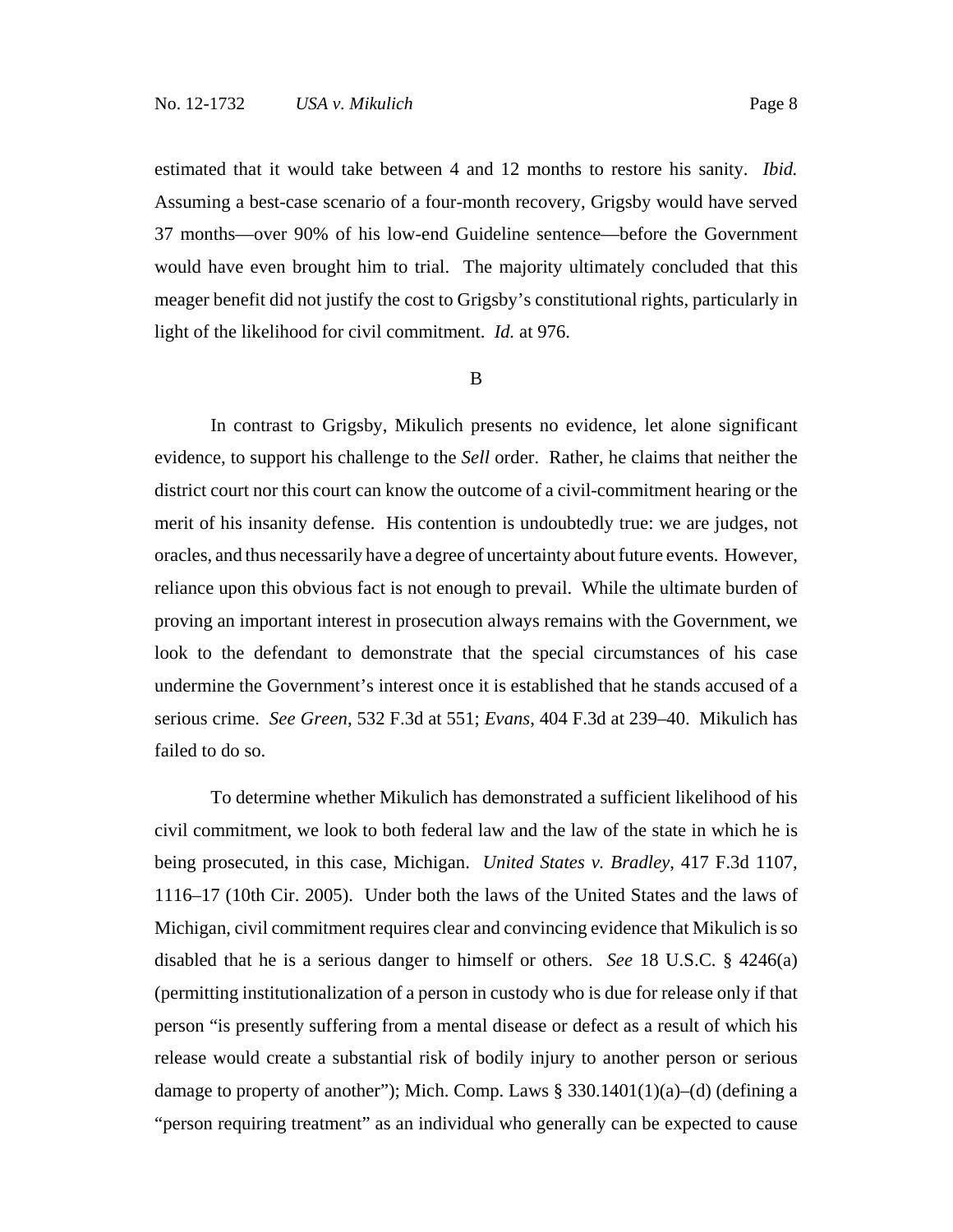estimated that it would take between 4 and 12 months to restore his sanity. *Ibid.* Assuming a best-case scenario of a four-month recovery, Grigsby would have served 37 months—over 90% of his low-end Guideline sentence—before the Government would have even brought him to trial. The majority ultimately concluded that this meager benefit did not justify the cost to Grigsby's constitutional rights, particularly in light of the likelihood for civil commitment. *Id.* at 976.

#### B

In contrast to Grigsby, Mikulich presents no evidence, let alone significant evidence, to support his challenge to the *Sell* order. Rather, he claims that neither the district court nor this court can know the outcome of a civil-commitment hearing or the merit of his insanity defense. His contention is undoubtedly true: we are judges, not oracles, and thus necessarily have a degree of uncertainty about future events. However, reliance upon this obvious fact is not enough to prevail. While the ultimate burden of proving an important interest in prosecution always remains with the Government, we look to the defendant to demonstrate that the special circumstances of his case undermine the Government's interest once it is established that he stands accused of a serious crime. *See Green*, 532 F.3d at 551; *Evans*, 404 F.3d at 239–40. Mikulich has failed to do so.

To determine whether Mikulich has demonstrated a sufficient likelihood of his civil commitment, we look to both federal law and the law of the state in which he is being prosecuted, in this case, Michigan. *United States v. Bradley*, 417 F.3d 1107, 1116–17 (10th Cir. 2005). Under both the laws of the United States and the laws of Michigan, civil commitment requires clear and convincing evidence that Mikulich is so disabled that he is a serious danger to himself or others. *See* 18 U.S.C. § 4246(a) (permitting institutionalization of a person in custody who is due for release only if that person "is presently suffering from a mental disease or defect as a result of which his release would create a substantial risk of bodily injury to another person or serious damage to property of another"); Mich. Comp. Laws  $\S 330.1401(1)(a)$ –(d) (defining a "person requiring treatment" as an individual who generally can be expected to cause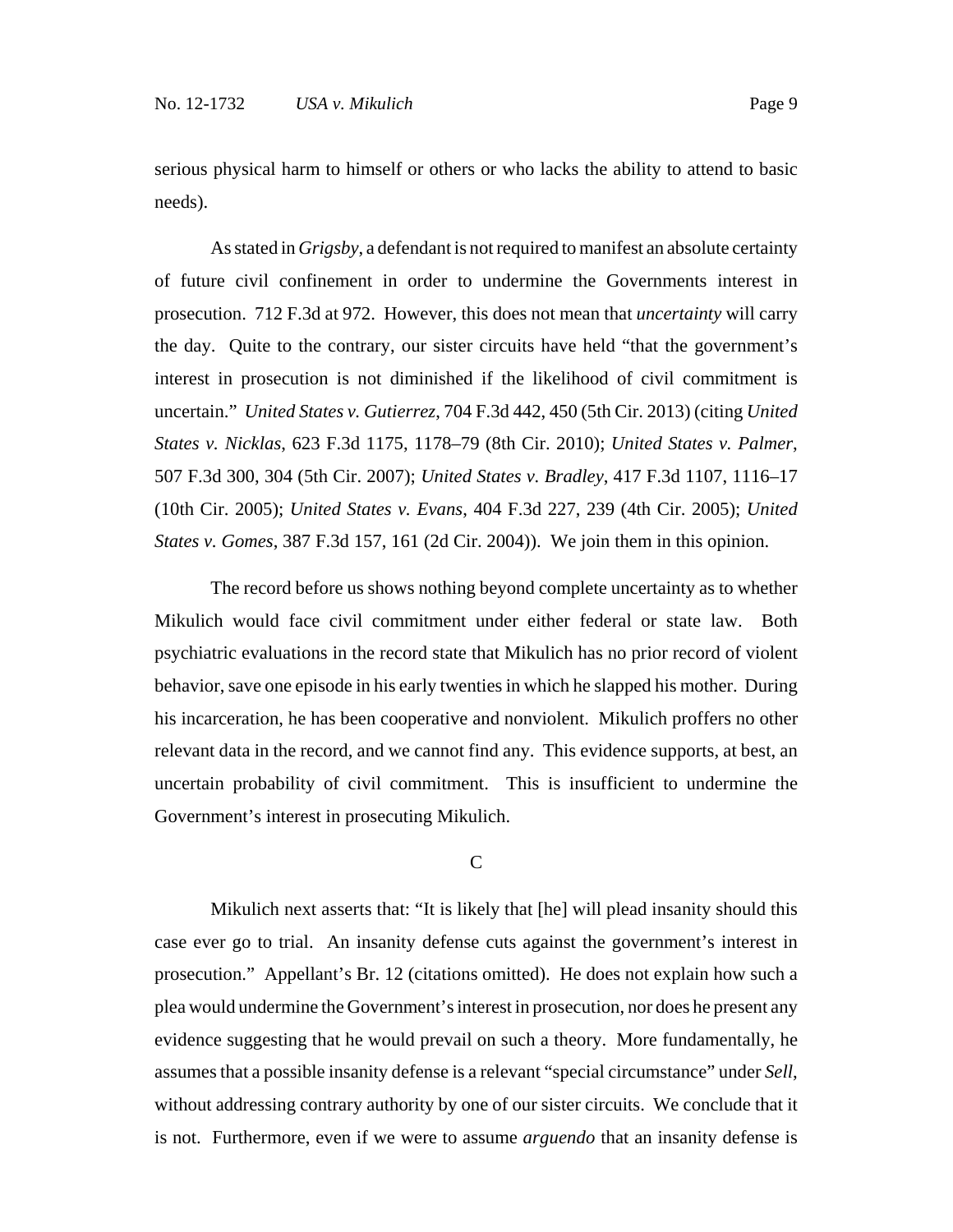serious physical harm to himself or others or who lacks the ability to attend to basic needs).

As stated in *Grigsby*, a defendant is not required to manifest an absolute certainty of future civil confinement in order to undermine the Governments interest in prosecution. 712 F.3d at 972. However, this does not mean that *uncertainty* will carry the day. Quite to the contrary, our sister circuits have held "that the government's interest in prosecution is not diminished if the likelihood of civil commitment is uncertain." *United States v. Gutierrez*, 704 F.3d 442, 450 (5th Cir. 2013) (citing *United States v. Nicklas*, 623 F.3d 1175, 1178–79 (8th Cir. 2010); *United States v. Palmer*, 507 F.3d 300, 304 (5th Cir. 2007); *United States v. Bradley*, 417 F.3d 1107, 1116–17 (10th Cir. 2005); *United States v. Evans*, 404 F.3d 227, 239 (4th Cir. 2005); *United States v. Gomes*, 387 F.3d 157, 161 (2d Cir. 2004)). We join them in this opinion.

The record before us shows nothing beyond complete uncertainty as to whether Mikulich would face civil commitment under either federal or state law. Both psychiatric evaluations in the record state that Mikulich has no prior record of violent behavior, save one episode in his early twenties in which he slapped his mother. During his incarceration, he has been cooperative and nonviolent. Mikulich proffers no other relevant data in the record, and we cannot find any. This evidence supports, at best, an uncertain probability of civil commitment. This is insufficient to undermine the Government's interest in prosecuting Mikulich.

#### $\overline{C}$

Mikulich next asserts that: "It is likely that [he] will plead insanity should this case ever go to trial. An insanity defense cuts against the government's interest in prosecution." Appellant's Br. 12 (citations omitted). He does not explain how such a plea would undermine the Government's interest in prosecution, nor does he present any evidence suggesting that he would prevail on such a theory. More fundamentally, he assumes that a possible insanity defense is a relevant "special circumstance" under *Sell*, without addressing contrary authority by one of our sister circuits. We conclude that it is not. Furthermore, even if we were to assume *arguendo* that an insanity defense is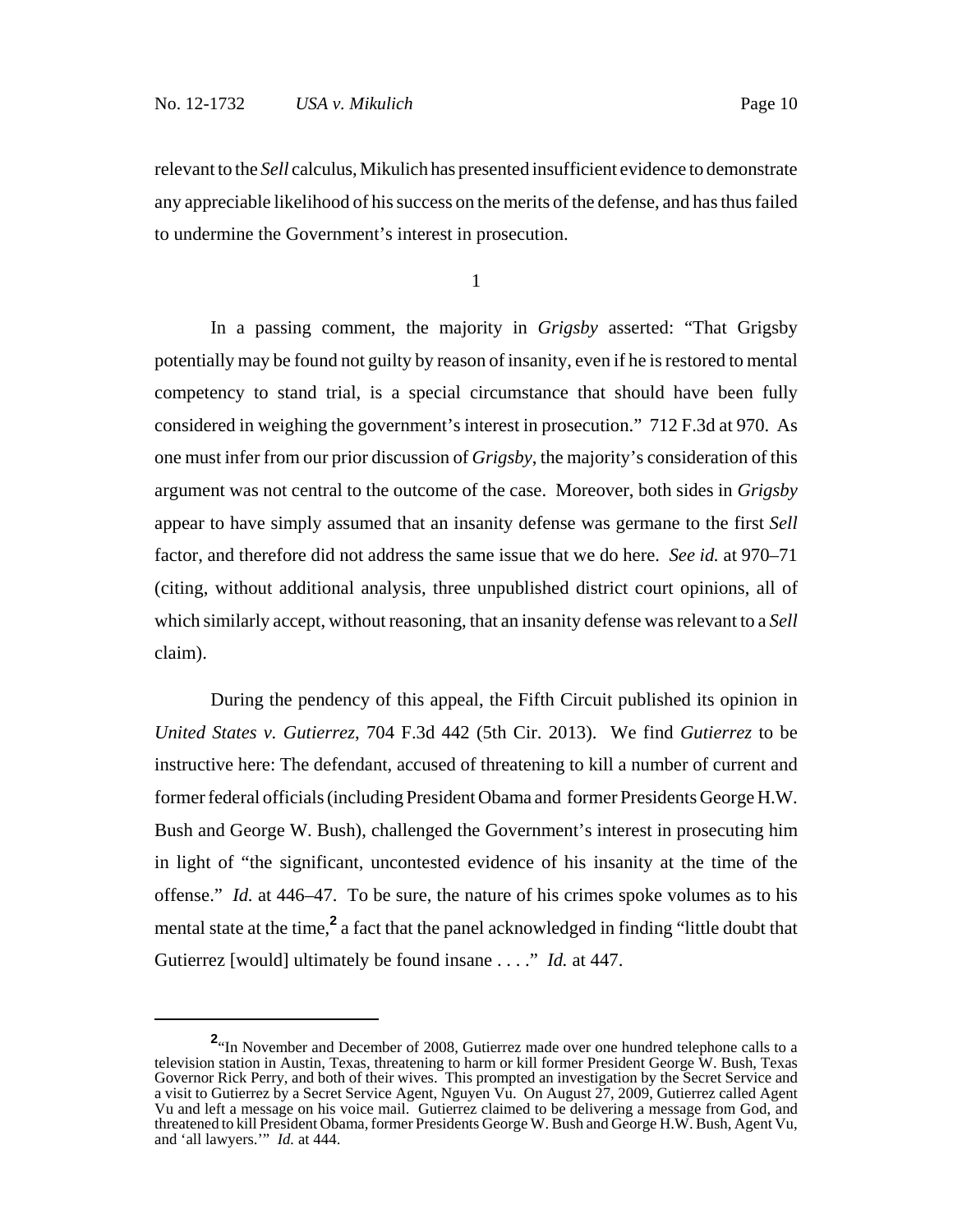relevant to the *Sell* calculus, Mikulich has presented insufficient evidence to demonstrate any appreciable likelihood of his success on the merits of the defense, and has thus failed to undermine the Government's interest in prosecution.

1

In a passing comment, the majority in *Grigsby* asserted: "That Grigsby potentially may be found not guilty by reason of insanity, even if he is restored to mental competency to stand trial, is a special circumstance that should have been fully considered in weighing the government's interest in prosecution." 712 F.3d at 970. As one must infer from our prior discussion of *Grigsby*, the majority's consideration of this argument was not central to the outcome of the case. Moreover, both sides in *Grigsby* appear to have simply assumed that an insanity defense was germane to the first *Sell* factor, and therefore did not address the same issue that we do here. *See id.* at 970–71 (citing, without additional analysis, three unpublished district court opinions, all of which similarly accept, without reasoning, that an insanity defense was relevant to a *Sell* claim).

During the pendency of this appeal, the Fifth Circuit published its opinion in *United States v. Gutierrez*, 704 F.3d 442 (5th Cir. 2013). We find *Gutierrez* to be instructive here: The defendant, accused of threatening to kill a number of current and former federal officials (including President Obama and former Presidents George H.W. Bush and George W. Bush), challenged the Government's interest in prosecuting him in light of "the significant, uncontested evidence of his insanity at the time of the offense." *Id.* at 446–47. To be sure, the nature of his crimes spoke volumes as to his mental state at the time,<sup>2</sup> a fact that the panel acknowledged in finding "little doubt that Gutierrez [would] ultimately be found insane . . . ." *Id.* at 447.

<sup>&</sup>lt;sup>2</sup><sup>\*</sup>In November and December of 2008, Gutierrez made over one hundred telephone calls to a television station in Austin, Texas, threatening to harm or kill former President George W. Bush, Texas Governor Rick Perry, and both of their wives. This prompted an investigation by the Secret Service and a visit to Gutierrez by a Secret Service Agent, Nguyen Vu. On August 27, 2009, Gutierrez called Agent Vu and left a message on his voice mail. Gutierrez claimed to be delivering a message from God, and threatened to kill President Obama, former Presidents George W. Bush and George H.W. Bush, Agent Vu, and 'all lawyers.'" *Id.* at 444.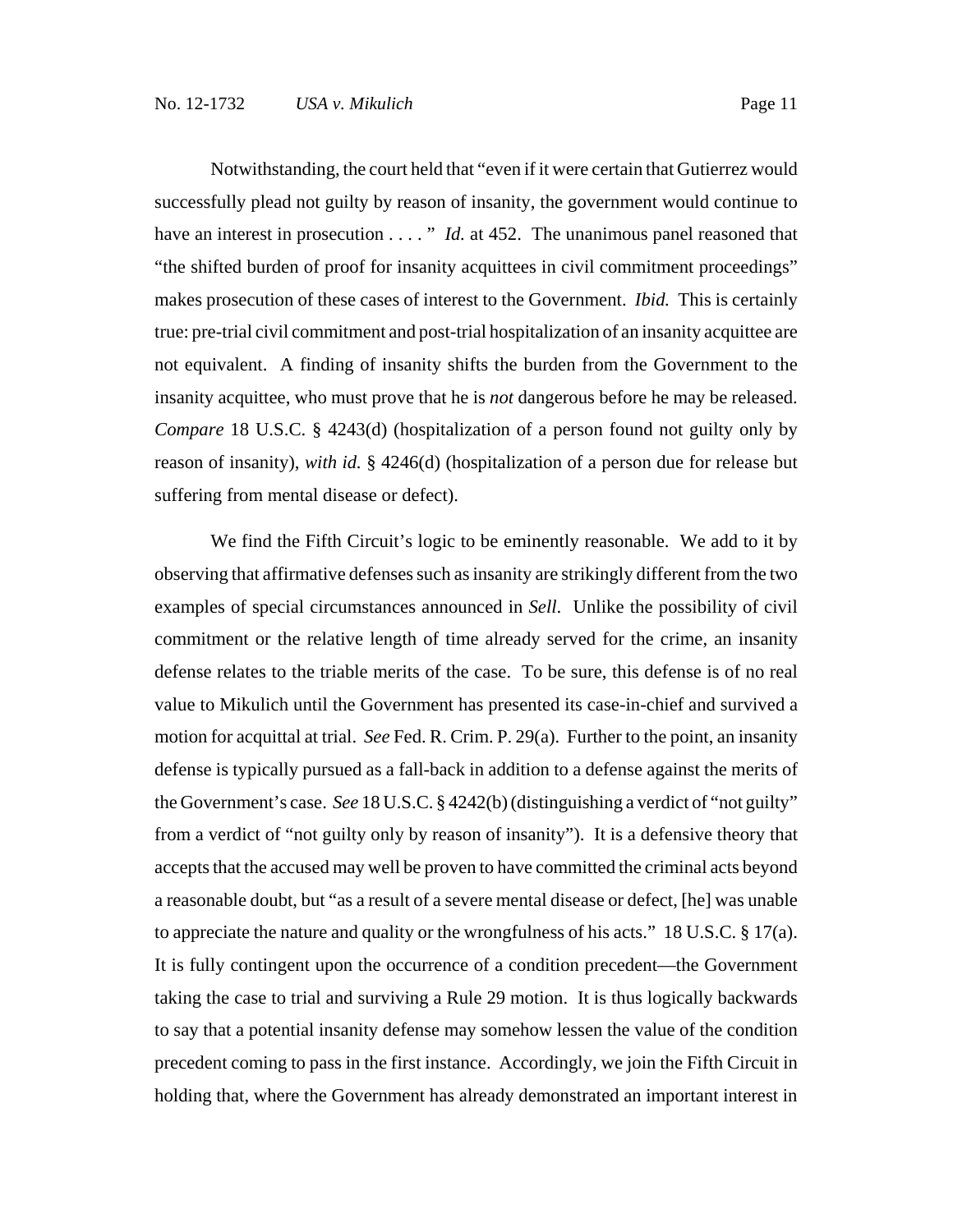Notwithstanding, the court held that "even if it were certain that Gutierrez would successfully plead not guilty by reason of insanity, the government would continue to have an interest in prosecution . . . . " *Id.* at 452. The unanimous panel reasoned that "the shifted burden of proof for insanity acquittees in civil commitment proceedings" makes prosecution of these cases of interest to the Government. *Ibid.* This is certainly true: pre-trial civil commitment and post-trial hospitalization of an insanity acquittee are not equivalent. A finding of insanity shifts the burden from the Government to the insanity acquittee, who must prove that he is *not* dangerous before he may be released. *Compare* 18 U.S.C. § 4243(d) (hospitalization of a person found not guilty only by reason of insanity), *with id.* § 4246(d) (hospitalization of a person due for release but suffering from mental disease or defect).

We find the Fifth Circuit's logic to be eminently reasonable. We add to it by observing that affirmative defenses such as insanity are strikingly different from the two examples of special circumstances announced in *Sell*. Unlike the possibility of civil commitment or the relative length of time already served for the crime, an insanity defense relates to the triable merits of the case. To be sure, this defense is of no real value to Mikulich until the Government has presented its case-in-chief and survived a motion for acquittal at trial. *See* Fed. R. Crim. P. 29(a). Further to the point, an insanity defense is typically pursued as a fall-back in addition to a defense against the merits of the Government's case. *See* 18 U.S.C. § 4242(b) (distinguishing a verdict of "not guilty" from a verdict of "not guilty only by reason of insanity"). It is a defensive theory that accepts that the accused may well be proven to have committed the criminal acts beyond a reasonable doubt, but "as a result of a severe mental disease or defect, [he] was unable to appreciate the nature and quality or the wrongfulness of his acts." 18 U.S.C. § 17(a). It is fully contingent upon the occurrence of a condition precedent—the Government taking the case to trial and surviving a Rule 29 motion. It is thus logically backwards to say that a potential insanity defense may somehow lessen the value of the condition precedent coming to pass in the first instance. Accordingly, we join the Fifth Circuit in holding that, where the Government has already demonstrated an important interest in